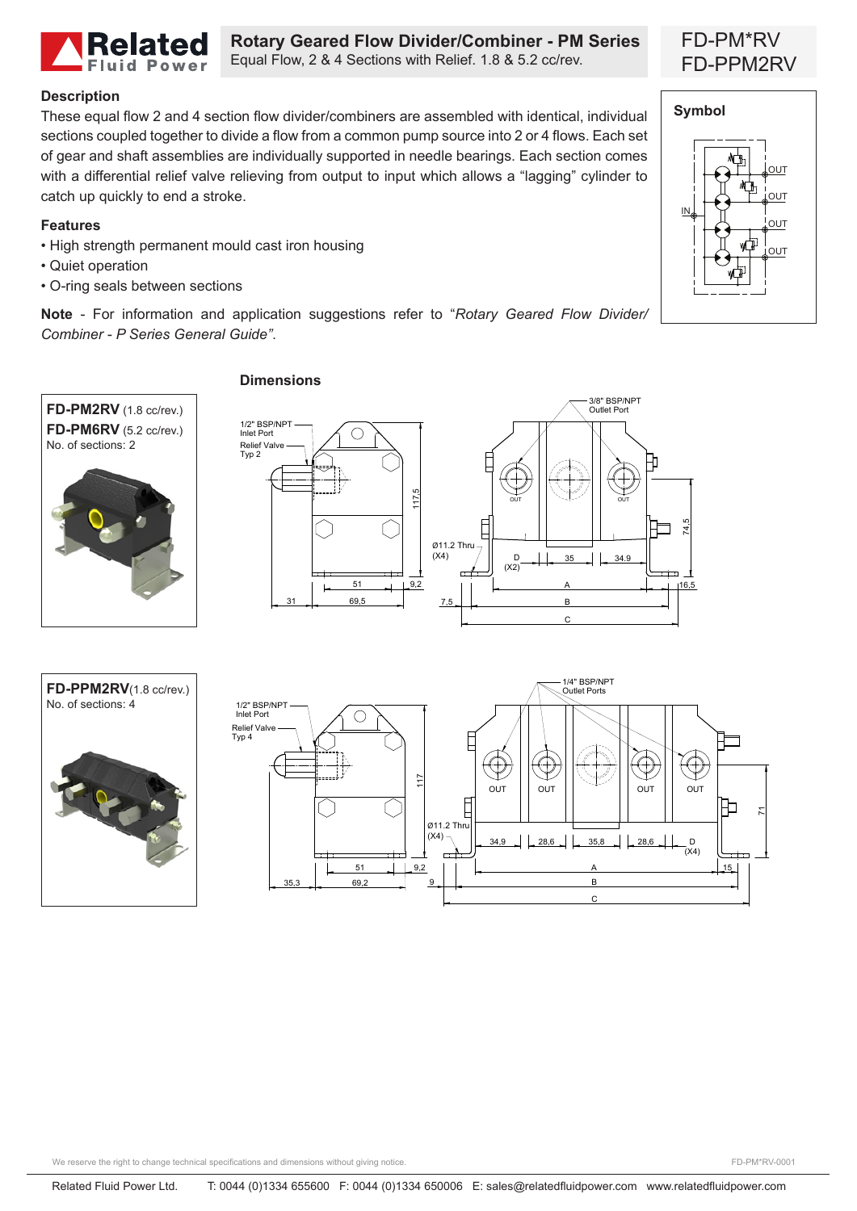

**Rotary Geared Flow Divider/Combiner - PM Series** Equal Flow, 2 & 4 Sections with Relief. 1.8 & 5.2 cc/rev.

## **Description**

These equal flow 2 and 4 section flow divider/combiners are assembled with identical, individual sections coupled together to divide a flow from a common pump source into 2 or 4 flows. Each set of gear and shaft assemblies are individually supported in needle bearings. Each section comes with a differential relief valve relieving from output to input which allows a "lagging" cylinder to catch up quickly to end a stroke.

## **Features**

- High strength permanent mould cast iron housing
- Quiet operation
- O-ring seals between sections

**Note** - For information and application suggestions refer to "*Rotary Geared Flow Divider/ Combiner - P Series General Guide"*.



## **Dimensions**







# FD-PM\*RV FD-PPM2RV



We reserve the right to change technical specifications and dimensions without giving notice.